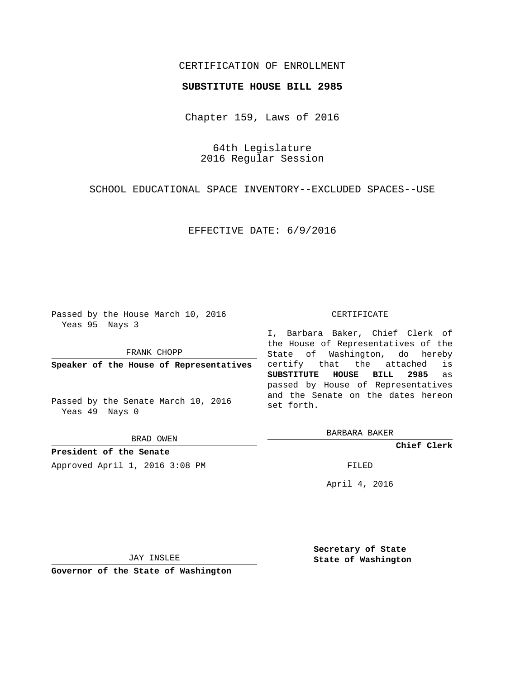## CERTIFICATION OF ENROLLMENT

## **SUBSTITUTE HOUSE BILL 2985**

Chapter 159, Laws of 2016

64th Legislature 2016 Regular Session

SCHOOL EDUCATIONAL SPACE INVENTORY--EXCLUDED SPACES--USE

EFFECTIVE DATE: 6/9/2016

Passed by the House March 10, 2016 Yeas 95 Nays 3

FRANK CHOPP

**Speaker of the House of Representatives**

Passed by the Senate March 10, 2016 Yeas 49 Nays 0

BRAD OWEN

**President of the Senate**

Approved April 1, 2016 3:08 PM FILED

#### CERTIFICATE

I, Barbara Baker, Chief Clerk of the House of Representatives of the State of Washington, do hereby certify that the attached is **SUBSTITUTE HOUSE BILL 2985** as passed by House of Representatives and the Senate on the dates hereon set forth.

BARBARA BAKER

**Chief Clerk**

April 4, 2016

JAY INSLEE

**Governor of the State of Washington**

**Secretary of State State of Washington**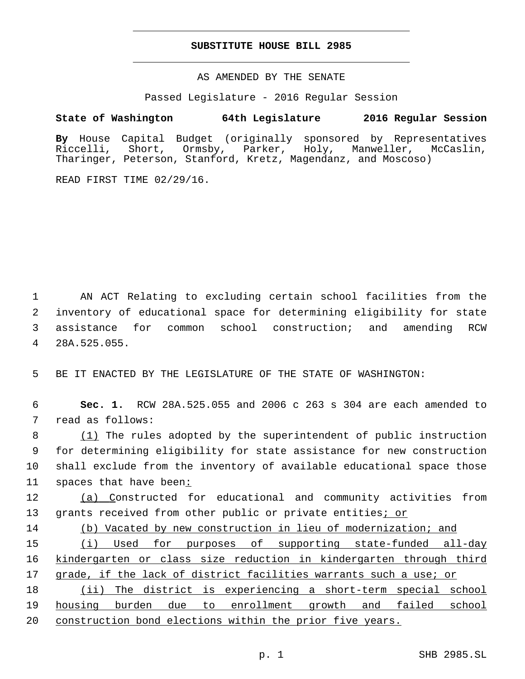## **SUBSTITUTE HOUSE BILL 2985**

AS AMENDED BY THE SENATE

Passed Legislature - 2016 Regular Session

# **State of Washington 64th Legislature 2016 Regular Session**

**By** House Capital Budget (originally sponsored by Representatives Riccelli, Short, Ormsby, Parker, Holy, Manweller, McCaslin, Tharinger, Peterson, Stanford, Kretz, Magendanz, and Moscoso)

READ FIRST TIME 02/29/16.

 AN ACT Relating to excluding certain school facilities from the inventory of educational space for determining eligibility for state assistance for common school construction; and amending RCW 28A.525.055.4

5 BE IT ENACTED BY THE LEGISLATURE OF THE STATE OF WASHINGTON:

6 **Sec. 1.** RCW 28A.525.055 and 2006 c 263 s 304 are each amended to 7 read as follows:

 (1) The rules adopted by the superintendent of public instruction for determining eligibility for state assistance for new construction shall exclude from the inventory of available educational space those spaces that have been:

12 (a) Constructed for educational and community activities from 13 grants received from other public or private entities<u>; or</u>

14 (b) Vacated by new construction in lieu of modernization; and

15 (i) Used for purposes of supporting state-funded all-day 16 kindergarten or class size reduction in kindergarten through third 17 grade, if the lack of district facilities warrants such a use; or

18 (ii) The district is experiencing a short-term special school 19 housing burden due to enrollment growth and failed school 20 construction bond elections within the prior five years.